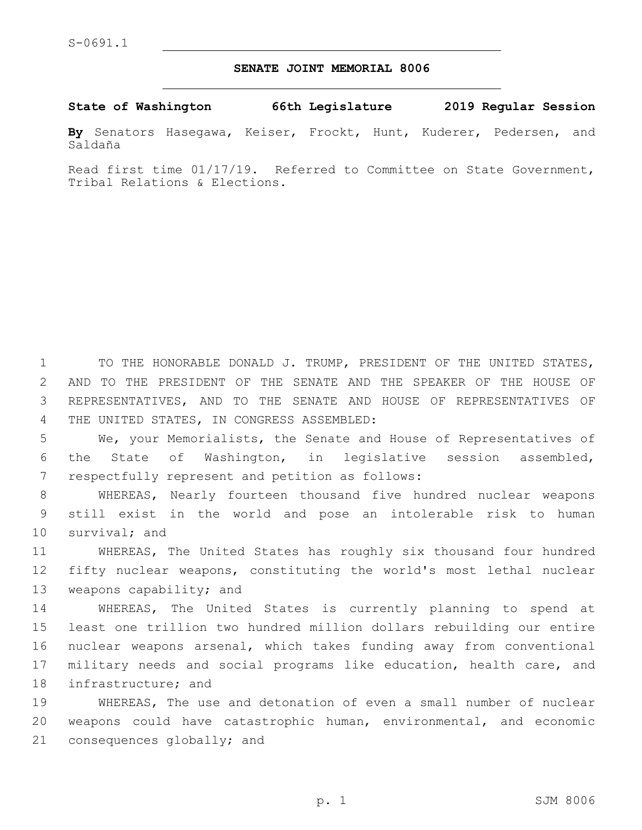## **SENATE JOINT MEMORIAL 8006**

**State of Washington 66th Legislature 2019 Regular Session**

**By** Senators Hasegawa, Keiser, Frockt, Hunt, Kuderer, Pedersen, and Saldaña

Read first time 01/17/19. Referred to Committee on State Government, Tribal Relations & Elections.

 TO THE HONORABLE DONALD J. TRUMP, PRESIDENT OF THE UNITED STATES, AND TO THE PRESIDENT OF THE SENATE AND THE SPEAKER OF THE HOUSE OF REPRESENTATIVES, AND TO THE SENATE AND HOUSE OF REPRESENTATIVES OF 4 THE UNITED STATES, IN CONGRESS ASSEMBLED:

5 We, your Memorialists, the Senate and House of Representatives of 6 the State of Washington, in legislative session assembled, 7 respectfully represent and petition as follows:

8 WHEREAS, Nearly fourteen thousand five hundred nuclear weapons 9 still exist in the world and pose an intolerable risk to human 10 survival; and

11 WHEREAS, The United States has roughly six thousand four hundred 12 fifty nuclear weapons, constituting the world's most lethal nuclear 13 weapons capability; and

 WHEREAS, The United States is currently planning to spend at least one trillion two hundred million dollars rebuilding our entire nuclear weapons arsenal, which takes funding away from conventional military needs and social programs like education, health care, and 18 infrastructure; and

19 WHEREAS, The use and detonation of even a small number of nuclear 20 weapons could have catastrophic human, environmental, and economic 21 consequences globally; and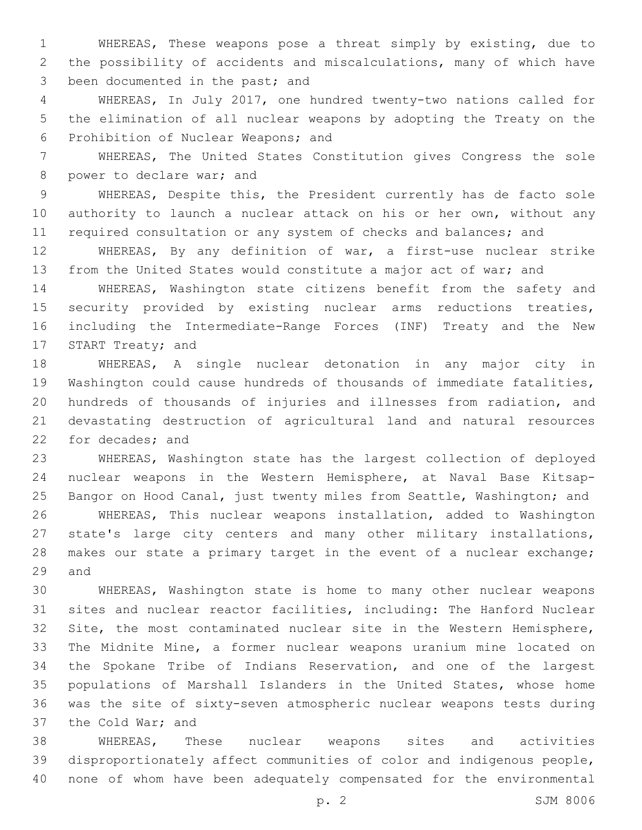WHEREAS, These weapons pose a threat simply by existing, due to the possibility of accidents and miscalculations, many of which have 3 been documented in the past; and

 WHEREAS, In July 2017, one hundred twenty-two nations called for the elimination of all nuclear weapons by adopting the Treaty on the 6 Prohibition of Nuclear Weapons; and

 WHEREAS, The United States Constitution gives Congress the sole 8 power to declare war; and

 WHEREAS, Despite this, the President currently has de facto sole authority to launch a nuclear attack on his or her own, without any 11 required consultation or any system of checks and balances; and

 WHEREAS, By any definition of war, a first-use nuclear strike from the United States would constitute a major act of war; and

 WHEREAS, Washington state citizens benefit from the safety and security provided by existing nuclear arms reductions treaties, including the Intermediate-Range Forces (INF) Treaty and the New 17 START Treaty; and

 WHEREAS, A single nuclear detonation in any major city in Washington could cause hundreds of thousands of immediate fatalities, hundreds of thousands of injuries and illnesses from radiation, and devastating destruction of agricultural land and natural resources 22 for decades; and

 WHEREAS, Washington state has the largest collection of deployed nuclear weapons in the Western Hemisphere, at Naval Base Kitsap- Bangor on Hood Canal, just twenty miles from Seattle, Washington; and WHEREAS, This nuclear weapons installation, added to Washington state's large city centers and many other military installations, 28 makes our state a primary target in the event of a nuclear exchange; 29 and

 WHEREAS, Washington state is home to many other nuclear weapons sites and nuclear reactor facilities, including: The Hanford Nuclear Site, the most contaminated nuclear site in the Western Hemisphere, The Midnite Mine, a former nuclear weapons uranium mine located on the Spokane Tribe of Indians Reservation, and one of the largest populations of Marshall Islanders in the United States, whose home was the site of sixty-seven atmospheric nuclear weapons tests during 37 the Cold War; and

 WHEREAS, These nuclear weapons sites and activities disproportionately affect communities of color and indigenous people, none of whom have been adequately compensated for the environmental